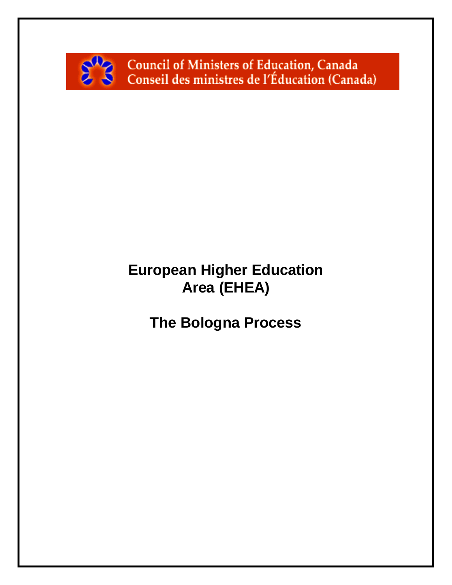

Council of Ministers of Education, Canada Conseil des ministres de l'Éducation (Canada)

# **European Higher Education Area (EHEA)**

**The Bologna Process**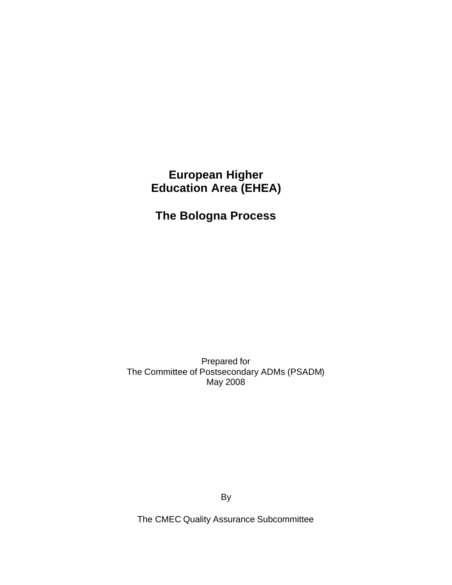# **European Higher Education Area (EHEA)**

# **The Bologna Process**

Prepared for The Committee of Postsecondary ADMs (PSADM) May 2008

By

The CMEC Quality Assurance Subcommittee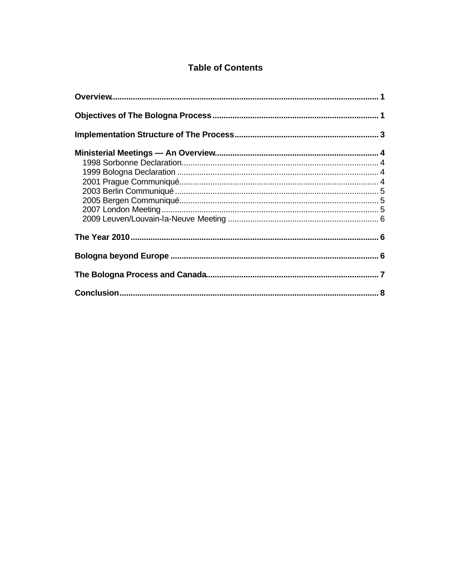### **Table of Contents**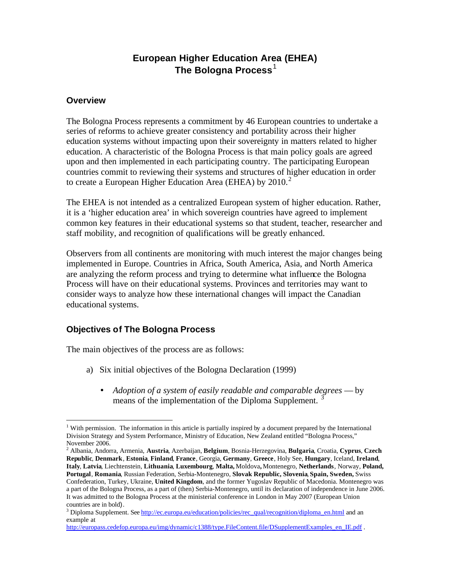## **European Higher Education Area (EHEA) The Bologna Process**<sup>1</sup>

#### **Overview**

The Bologna Process represents a commitment by 46 European countries to undertake a series of reforms to achieve greater consistency and portability across their higher education systems without impacting upon their sovereignty in matters related to higher education. A characteristic of the Bologna Process is that main policy goals are agreed upon and then implemented in each participating country. The participating European countries commit to reviewing their systems and structures of higher education in order to create a European Higher Education Area (EHEA) by  $2010<sup>2</sup>$ 

The EHEA is not intended as a centralized European system of higher education. Rather, it is a 'higher education area' in which sovereign countries have agreed to implement common key features in their educational systems so that student, teacher, researcher and staff mobility, and recognition of qualifications will be greatly enhanced.

Observers from all continents are monitoring with much interest the major changes being implemented in Europe. Countries in Africa, South America, Asia, and North America are analyzing the reform process and trying to determine what influence the Bologna Process will have on their educational systems. Provinces and territories may want to consider ways to analyze how these international changes will impact the Canadian educational systems.

### **Objectives of The Bologna Process**

The main objectives of the process are as follows:

- a) Six initial objectives of the Bologna Declaration (1999)
	- *Adoption of a system of easily readable and comparable degrees* by means of the implementation of the Diploma Supplement.

<sup>2</sup> Albania, Andorra, Armenia, **Austria**, Azerbaijan, **Belgium**, Bosnia-Herzegovina, **Bulgaria**, Croatia, **Cyprus**, **Czech Republic**, **Denmark**, **Estonia**, **Finland**, **France**, Georgia, **Germany**, **Greece**, Holy See, **Hungary**, Iceland, **Ireland**, **Italy**, **Latvia**, Liechtenstein, **Lithuania**, **Luxembourg**, **Malta,** Moldova**,** Montenegro, **Netherlands**, Norway, **Poland, Portugal**, **Romania**, Russian Federation, Serbia-Montenegro, **Slovak Republic, Slovenia**, **Spain, Sweden,** Swiss Confederation, Turkey, Ukraine, **United Kingdom**, and the former Yugoslav Republic of Macedonia. Montenegro was a part of the Bologna Process, as a part of (then) Serbia-Montenegro, until its declaration of independence in June 2006. It was admitted to the Bologna Process at the ministerial conference in London in May 2007 (European Union countries are in bold).

 $\overline{a}$ <sup>1</sup> With permission. The information in this article is partially inspired by a document prepared by the International Division Strategy and System Performance, Ministry of Education, New Zealand entitled "Bologna Process," November 2006.

<sup>&</sup>lt;sup>3</sup> Diploma Supplement. See http://ec.europa.eu/education/policies/rec\_qual/recognition/diploma\_en.html and an example at

http://europass.cedefop.europa.eu/img/dynamic/c1388/type.FileContent.file/DSupplementExamples\_en\_IE.pdf .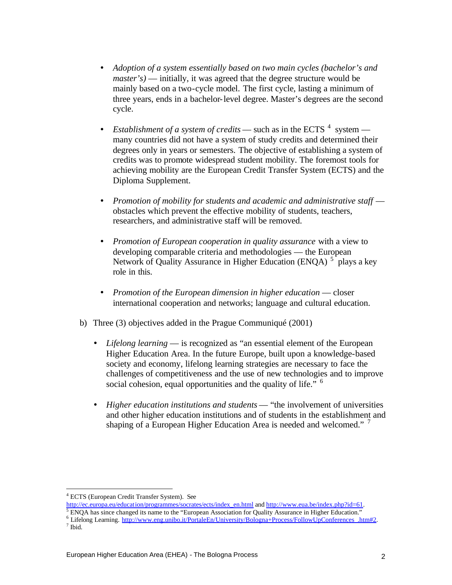- *Adoption of a system essentially based on two main cycles (bachelor's and master's*) — initially, it was agreed that the degree structure would be mainly based on a two-cycle model. The first cycle, lasting a minimum of three years, ends in a bachelor-level degree. Master's degrees are the second cycle.
- *Establishment of a system of credits* such as in the ECTS  $^4$  system many countries did not have a system of study credits and determined their degrees only in years or semesters. The objective of establishing a system of credits was to promote widespread student mobility. The foremost tools for achieving mobility are the European Credit Transfer System (ECTS) and the Diploma Supplement.
- *Promotion of mobility for students and academic and administrative staff* obstacles which prevent the effective mobility of students, teachers, researchers, and administrative staff will be removed.
- *Promotion of European cooperation in quality assurance* with a view to developing comparable criteria and methodologies — the European Network of Quality Assurance in Higher Education (ENQA) <sup>5</sup> plays a key role in this.
- *Promotion of the European dimension in higher education* closer international cooperation and networks; language and cultural education.
- b) Three (3) objectives added in the Prague Communiqué (2001)
	- *Lifelong learning* is recognized as "an essential element of the European Higher Education Area. In the future Europe, built upon a knowledge-based society and economy, lifelong learning strategies are necessary to face the challenges of competitiveness and the use of new technologies and to improve social cohesion, equal opportunities and the quality of life." <sup>6</sup>
	- *Higher education institutions and students* "the involvement of universities and other higher education institutions and of students in the establishment and shaping of a European Higher Education Area is needed and welcomed." <sup>7</sup>

- $<sup>5</sup>$  ENQA has since changed its name to the "European Association for Quality Assurance in Higher Education."</sup>
- <sup>6</sup> Lifelong Learning. http://www.eng.unibo.it/PortaleEn/University/Bologna+Process/FollowUpConferences\_.htm#2. 7 Ibid.

 $\overline{a}$ 4 ECTS (European Credit Transfer System). See

http://ec.europa.eu/education/programmes/socrates/ects/index\_en.html and http://www.eua.be/index.php?id=61.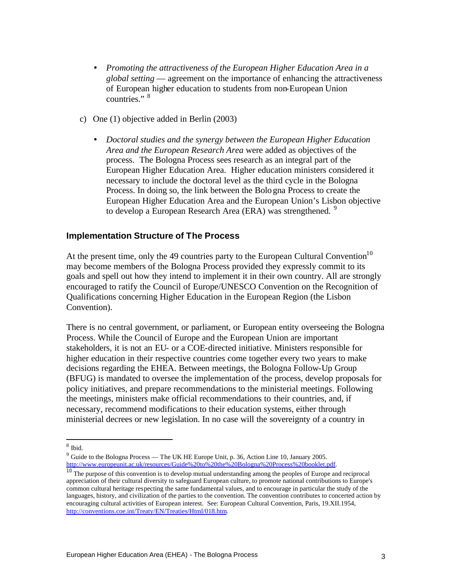- *Promoting the attractiveness of the European Higher Education Area in a global setting* — agreement on the importance of enhancing the attractiveness of European higher education to students from non-European Union countries." 8
- c) One (1) objective added in Berlin (2003)
	- *Doctoral studies and the synergy between the European Higher Education Area and the European Research Area* were added as objectives of the process. The Bologna Process sees research as an integral part of the European Higher Education Area. Higher education ministers considered it necessary to include the doctoral level as the third cycle in the Bologna Process. In doing so, the link between the Bologna Process to create the European Higher Education Area and the European Union's Lisbon objective to develop a European Research Area (ERA) was strengthened. <sup>9</sup>

#### **Implementation Structure of The Process**

At the present time, only the 49 countries party to the European Cultural Convention<sup>10</sup> may become members of the Bologna Process provided they expressly commit to its goals and spell out how they intend to implement it in their own country. All are strongly encouraged to ratify the Council of Europe/UNESCO Convention on the Recognition of Qualifications concerning Higher Education in the European Region (the Lisbon Convention).

There is no central government, or parliament, or European entity overseeing the Bologna Process. While the Council of Europe and the European Union are important stakeholders, it is not an EU- or a COE-directed initiative. Ministers responsible for higher education in their respective countries come together every two years to make decisions regarding the EHEA. Between meetings, the Bologna Follow-Up Group (BFUG) is mandated to oversee the implementation of the process, develop proposals for policy initiatives, and prepare recommendations to the ministerial meetings. Following the meetings, ministers make official recommendations to their countries, and, if necessary, recommend modifications to their education systems, either through ministerial decrees or new legislation. In no case will the sovereignty of a country in

 8 Ibid.

<sup>&</sup>lt;sup>9</sup> Guide to the Bologna Process — The UK HE Europe Unit, p. 36, Action Line 10, January 2005. http://www.europeunit.ac.uk/resources/Guide%20to%20the%20Bologna%20Process%20booklet.pdf.

 $10$  The purpose of this convention is to develop mutual understanding among the peoples of Europe and reciprocal appreciation of their cultural diversity to safeguard European culture, to promote national contributions to Europe's common cultural heritage respecting the same fundamental values, and to encourage in particular the study of the languages, history, and civilization of the parties to the convention. The convention contributes to concerted action by encouraging cultural activities of European interest. See: European Cultural Convention, Paris, 19.XII.1954, http://conventions.coe.int/Treaty/EN/Treaties/Html/018.htm.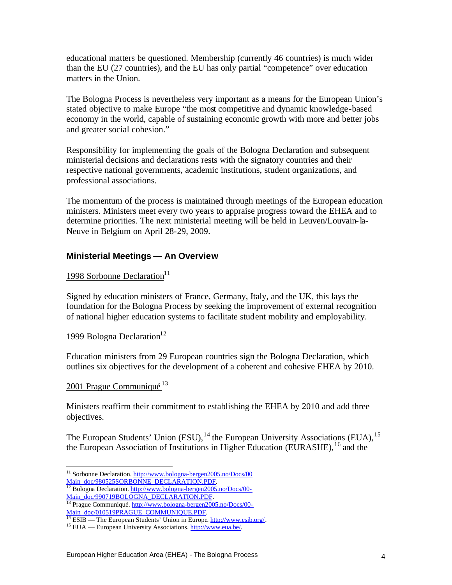educational matters be questioned. Membership (currently 46 countries) is much wider than the EU (27 countries), and the EU has only partial "competence" over education matters in the Union.

The Bologna Process is nevertheless very important as a means for the European Union's stated objective to make Europe "the most competitive and dynamic knowledge-based economy in the world, capable of sustaining economic growth with more and better jobs and greater social cohesion."

Responsibility for implementing the goals of the Bologna Declaration and subsequent ministerial decisions and declarations rests with the signatory countries and their respective national governments, academic institutions, student organizations, and professional associations.

The momentum of the process is maintained through meetings of the European education ministers. Ministers meet every two years to appraise progress toward the EHEA and to determine priorities. The next ministerial meeting will be held in Leuven/Louvain-la-Neuve in Belgium on April 28-29, 2009.

#### **Ministerial Meetings — An Overview**

#### 1998 Sorbonne Declaration<sup>11</sup>

Signed by education ministers of France, Germany, Italy, and the UK, this lays the foundation for the Bologna Process by seeking the improvement of external recognition of national higher education systems to facilitate student mobility and employability.

#### 1999 Bologna Declaration<sup>12</sup>

Education ministers from 29 European countries sign the Bologna Declaration, which outlines six objectives for the development of a coherent and cohesive EHEA by 2010.

#### 2001 Prague Communiqué<sup>13</sup>

Ministers reaffirm their commitment to establishing the EHEA by 2010 and add three objectives.

The European Students' Union (ESU),  $^{14}$  the European University Associations (EUA),  $^{15}$ the European Association of Institutions in Higher Education (EURASHE), <sup>16</sup> and the

<sup>12</sup> Bologna Declaration. http://www.bologna-bergen2005.no/Docs/00-Main\_doc/990719BOLOGNA\_DECLARATION.PDF.

<sup>13</sup> Prague Communiqué. http://www.bologna-bergen2005.no/Docs/00-Main\_doc/010519PRAGUE\_COMMUNIQUE.PDF.

 $\overline{a}$ <sup>11</sup> Sorbonne Declaration. http://www.bologna-bergen2005.no/Docs/00 Main\_doc/980525SORBONNE\_DECLARATION.PDF.

<sup>&</sup>lt;sup>14</sup> ESIB — The European Students' Union in Europe. http://www.esib.org/.

<sup>15</sup> EUA — European University Associations. http://www.eua.be/.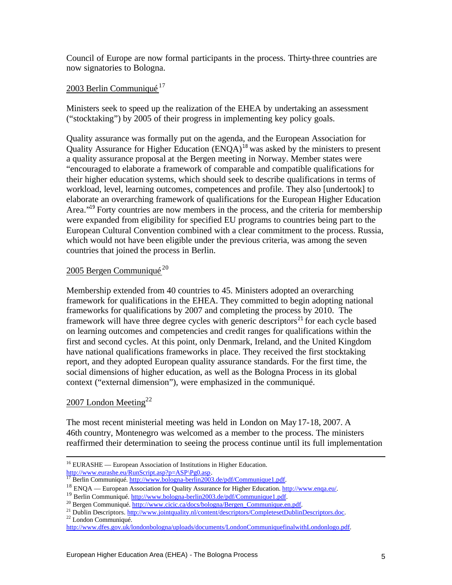Council of Europe are now formal participants in the process. Thirty-three countries are now signatories to Bologna.

#### 2003 Berlin Communiqué<sup>17</sup>

Ministers seek to speed up the realization of the EHEA by undertaking an assessment ("stocktaking") by 2005 of their progress in implementing key policy goals.

Quality assurance was formally put on the agenda, and the European Association for Quality Assurance for Higher Education  $(ENQA)^{18}$  was asked by the ministers to present a quality assurance proposal at the Bergen meeting in Norway. Member states were "encouraged to elaborate a framework of comparable and compatible qualifications for their higher education systems, which should seek to describe qualifications in terms of workload, level, learning outcomes, competences and profile. They also [undertook] to elaborate an overarching framework of qualifications for the European Higher Education Area."<sup>19</sup> Forty countries are now members in the process, and the criteria for membership were expanded from eligibility for specified EU programs to countries being part to the European Cultural Convention combined with a clear commitment to the process. Russia, which would not have been eligible under the previous criteria, was among the seven countries that joined the process in Berlin.

#### 2005 Bergen Communiqué<sup>20</sup>

Membership extended from 40 countries to 45. Ministers adopted an overarching framework for qualifications in the EHEA. They committed to begin adopting national frameworks for qualifications by 2007 and completing the process by 2010. The framework will have three degree cycles with generic descriptors<sup>21</sup> for each cycle based on learning outcomes and competencies and credit ranges for qualifications within the first and second cycles. At this point, only Denmark, Ireland, and the United Kingdom have national qualifications frameworks in place. They received the first stocktaking report, and they adopted European quality assurance standards. For the first time, the social dimensions of higher education, as well as the Bologna Process in its global context ("external dimension"), were emphasized in the communiqué.

#### 2007 London Meeting $^{22}$

The most recent ministerial meeting was held in London on May17-18, 2007. A 46th country, Montenegro was welcomed as a member to the process. The ministers reaffirmed their determination to seeing the process continue until its full implementation

<sup>22</sup> London Communiqué.

 $\overline{a}$ 

 $16$  EURASHE — European Association of Institutions in Higher Education. http://www.eurashe.eu/RunScript.asp?p=ASP\Pg0.asp.

<sup>&</sup>lt;sup>17</sup> Berlin Communiqué. http://www.bologna-berlin2003.de/pdf/Communique1.pdf.

<sup>18</sup> ENQA — European Association for Quality Assurance for Higher Education. http://www.enqa.eu/.

<sup>&</sup>lt;sup>19</sup> Berlin Communiqué. http://www.bologna-berlin2003.de/pdf/Communique1.pdf.

<sup>&</sup>lt;sup>20</sup> Bergen Communiqué. http://www.cicic.ca/docs/bologna/Bergen\_Communique.en.pdf.

<sup>&</sup>lt;sup>21</sup> Dublin Descriptors. http://www.jointquality.nl/content/descriptors/CompletesetDublinDescriptors.doc.

http://www.dfes.gov.uk/londonbologna/uploads/documents/LondonCommuniquefinalwithLondonlogo.pdf.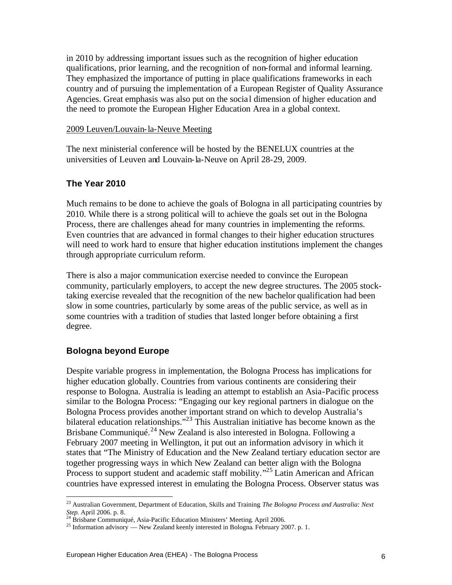in 2010 by addressing important issues such as the recognition of higher education qualifications, prior learning, and the recognition of non-formal and informal learning. They emphasized the importance of putting in place qualifications frameworks in each country and of pursuing the implementation of a European Register of Quality Assurance Agencies. Great emphasis was also put on the socia l dimension of higher education and the need to promote the European Higher Education Area in a global context.

#### 2009 Leuven/Louvain-la-Neuve Meeting

The next ministerial conference will be hosted by the BENELUX countries at the universities of Leuven and Louvain-la-Neuve on April 28-29, 2009.

#### **The Year 2010**

Much remains to be done to achieve the goals of Bologna in all participating countries by 2010. While there is a strong political will to achieve the goals set out in the Bologna Process, there are challenges ahead for many countries in implementing the reforms. Even countries that are advanced in formal changes to their higher education structures will need to work hard to ensure that higher education institutions implement the changes through appropriate curriculum reform.

There is also a major communication exercise needed to convince the European community, particularly employers, to accept the new degree structures. The 2005 stocktaking exercise revealed that the recognition of the new bachelor qualification had been slow in some countries, particularly by some areas of the public service, as well as in some countries with a tradition of studies that lasted longer before obtaining a first degree.

#### **Bologna beyond Europe**

 $\overline{a}$ 

Despite variable progress in implementation, the Bologna Process has implications for higher education globally. Countries from various continents are considering their response to Bologna. Australia is leading an attempt to establish an Asia-Pacific process similar to the Bologna Process: "Engaging our key regional partners in dialogue on the Bologna Process provides another important strand on which to develop Australia's bilateral education relationships."<sup>23</sup> This Australian initiative has become known as the Brisbane Communiqué.<sup>24</sup> New Zealand is also interested in Bologna. Following a February 2007 meeting in Wellington, it put out an information advisory in which it states that "The Ministry of Education and the New Zealand tertiary education sector are together progressing ways in which New Zealand can better align with the Bologna Process to support student and academic staff mobility."<sup>25</sup> Latin American and African countries have expressed interest in emulating the Bologna Process. Observer status was

<sup>23</sup> Australian Government, Department of Education, Skills and Training. *The Bologna Process and Australia: Next Step.* April 2006. p. 8.

<sup>&</sup>lt;sup>24</sup> Brisbane Communiqué, Asia-Pacific Education Ministers' Meeting. April 2006.

<sup>&</sup>lt;sup>25</sup> Information advisory — New Zealand keenly interested in Bologna. February 2007. p. 1.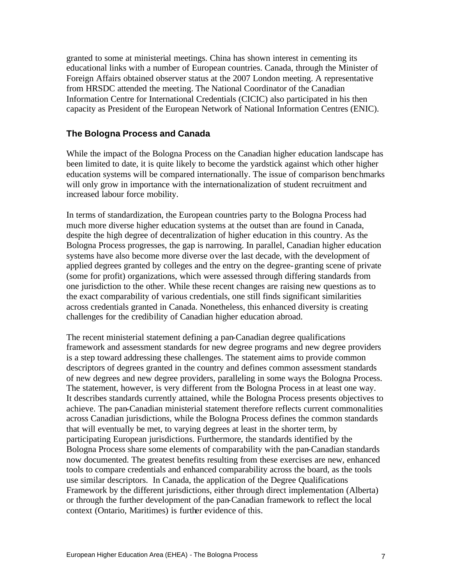granted to some at ministerial meetings. China has shown interest in cementing its educational links with a number of European countries. Canada, through the Minister of Foreign Affairs obtained observer status at the 2007 London meeting. A representative from HRSDC attended the meeting. The National Coordinator of the Canadian Information Centre for International Credentials (CICIC) also participated in his then capacity as President of the European Network of National Information Centres (ENIC).

#### **The Bologna Process and Canada**

While the impact of the Bologna Process on the Canadian higher education landscape has been limited to date, it is quite likely to become the yardstick against which other higher education systems will be compared internationally. The issue of comparison benchmarks will only grow in importance with the internationalization of student recruitment and increased labour force mobility.

In terms of standardization, the European countries party to the Bologna Process had much more diverse higher education systems at the outset than are found in Canada, despite the high degree of decentralization of higher education in this country. As the Bologna Process progresses, the gap is narrowing. In parallel, Canadian higher education systems have also become more diverse over the last decade, with the development of applied degrees granted by colleges and the entry on the degree-granting scene of private (some for profit) organizations, which were assessed through differing standards from one jurisdiction to the other. While these recent changes are raising new questions as to the exact comparability of various credentials, one still finds significant similarities across credentials granted in Canada. Nonetheless, this enhanced diversity is creating challenges for the credibility of Canadian higher education abroad.

The recent ministerial statement defining a pan-Canadian degree qualifications framework and assessment standards for new degree programs and new degree providers is a step toward addressing these challenges. The statement aims to provide common descriptors of degrees granted in the country and defines common assessment standards of new degrees and new degree providers, paralleling in some ways the Bologna Process. The statement, however, is very different from the Bologna Process in at least one way. It describes standards currently attained, while the Bologna Process presents objectives to achieve. The pan-Canadian ministerial statement therefore reflects current commonalities across Canadian jurisdictions, while the Bologna Process defines the common standards that will eventually be met, to varying degrees at least in the shorter term, by participating European jurisdictions. Furthermore, the standards identified by the Bologna Process share some elements of comparability with the pan-Canadian standards now documented. The greatest benefits resulting from these exercises are new, enhanced tools to compare credentials and enhanced comparability across the board, as the tools use similar descriptors. In Canada, the application of the Degree Qualifications Framework by the different jurisdictions, either through direct implementation (Alberta) or through the further development of the pan-Canadian framework to reflect the local context (Ontario, Maritimes) is further evidence of this.